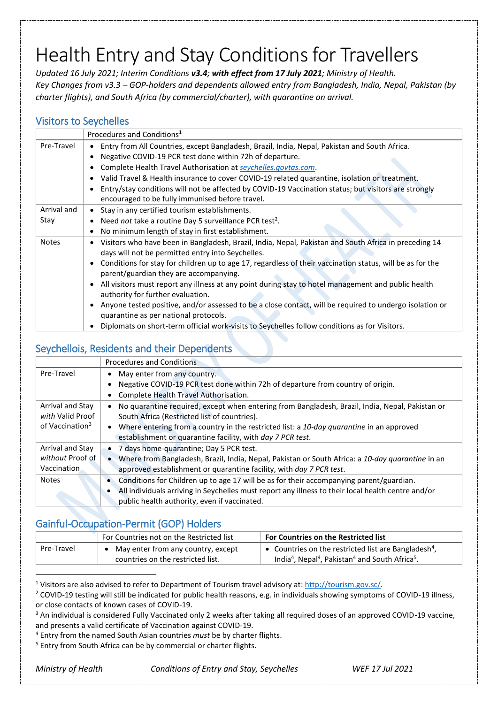# Health Entry and Stay Conditions for Travellers

*Updated 16 July 2021; Interim Conditions v3.4; with effect from 17 July 2021; Ministry of Health. Key Changes from v3.3 – GOP-holders and dependents allowed entry from Bangladesh, India, Nepal, Pakistan (by charter flights), and South Africa (by commercial/charter), with quarantine on arrival.*

#### Visitors to Seychelles

|              | Procedures and Conditions <sup>1</sup>                                                                                                              |  |
|--------------|-----------------------------------------------------------------------------------------------------------------------------------------------------|--|
| Pre-Travel   | Entry from All Countries, except Bangladesh, Brazil, India, Nepal, Pakistan and South Africa.                                                       |  |
|              | Negative COVID-19 PCR test done within 72h of departure.                                                                                            |  |
|              | Complete Health Travel Authorisation at seychelles.govtas.com.                                                                                      |  |
|              | Valid Travel & Health insurance to cover COVID-19 related quarantine, isolation or treatment.                                                       |  |
|              | Entry/stay conditions will not be affected by COVID-19 Vaccination status; but visitors are strongly                                                |  |
|              | encouraged to be fully immunised before travel.                                                                                                     |  |
| Arrival and  | Stay in any certified tourism establishments.<br>$\bullet$                                                                                          |  |
| Stay         | Need not take a routine Day 5 surveillance PCR test <sup>2</sup> .                                                                                  |  |
|              | No minimum length of stay in first establishment.                                                                                                   |  |
| <b>Notes</b> | Visitors who have been in Bangladesh, Brazil, India, Nepal, Pakistan and South Africa in preceding 14                                               |  |
|              | days will not be permitted entry into Seychelles.                                                                                                   |  |
|              | Conditions for stay for children up to age 17, regardless of their vaccination status, will be as for the<br>parent/guardian they are accompanying. |  |
|              | All visitors must report any illness at any point during stay to hotel management and public health<br>authority for further evaluation.            |  |
|              | Anyone tested positive, and/or assessed to be a close contact, will be required to undergo isolation or<br>quarantine as per national protocols.    |  |
|              | Diplomats on short-term official work-visits to Seychelles follow conditions as for Visitors.                                                       |  |

#### Seychellois, Residents and their Dependents

|                             | <b>Procedures and Conditions</b>                                                                   |
|-----------------------------|----------------------------------------------------------------------------------------------------|
| Pre-Travel                  | May enter from any country.                                                                        |
|                             | Negative COVID-19 PCR test done within 72h of departure from country of origin.                    |
|                             | Complete Health Travel Authorisation.                                                              |
| Arrival and Stay            | No quarantine required, except when entering from Bangladesh, Brazil, India, Nepal, Pakistan or    |
| with Valid Proof            | South Africa (Restricted list of countries).                                                       |
| of Vaccination <sup>3</sup> | Where entering from a country in the restricted list: a 10-day quarantine in an approved           |
|                             | establishment or quarantine facility, with day 7 PCR test.                                         |
| Arrival and Stay            | 7 days home-quarantine; Day 5 PCR test.                                                            |
| without Proof of            | Where from Bangladesh, Brazil, India, Nepal, Pakistan or South Africa: a 10-day quarantine in an   |
| Vaccination                 | approved establishment or quarantine facility, with day 7 PCR test.                                |
| <b>Notes</b>                | Conditions for Children up to age 17 will be as for their accompanying parent/guardian.            |
|                             | All individuals arriving in Seychelles must report any illness to their local health centre and/or |
|                             | public health authority, even if vaccinated.                                                       |

#### Gainful-Occupation-Permit (GOP) Holders

|            | For Countries not on the Restricted list                                | <b>For Countries on the Restricted list</b>                                                                                                                         |
|------------|-------------------------------------------------------------------------|---------------------------------------------------------------------------------------------------------------------------------------------------------------------|
| Pre-Travel | May enter from any country, except<br>countries on the restricted list. | • Countries on the restricted list are Bangladesh <sup>4</sup> .<br>India <sup>4</sup> , Nepal <sup>4</sup> , Pakistan <sup>4</sup> and South Africa <sup>5</sup> . |

<sup>1</sup> Visitors are also advised to refer to Department of Tourism travel advisory at: [http://tourism.gov.sc/.](http://tourism.gov.sc/)

 $\overline{a}$ 

*Ministry of Health Conditions of Entry and Stay, Seychelles WEF 17 Jul 2021*

<sup>&</sup>lt;sup>2</sup> COVID-19 testing will still be indicated for public health reasons, e.g. in individuals showing symptoms of COVID-19 illness, or close contacts of known cases of COVID-19.

<sup>&</sup>lt;sup>3</sup> An individual is considered Fully Vaccinated only 2 weeks after taking all required doses of an approved COVID-19 vaccine, and presents a valid certificate of Vaccination against COVID-19.

<sup>4</sup> Entry from the named South Asian countries *must* be by charter flights.

<sup>&</sup>lt;sup>5</sup> Entry from South Africa can be by commercial or charter flights.